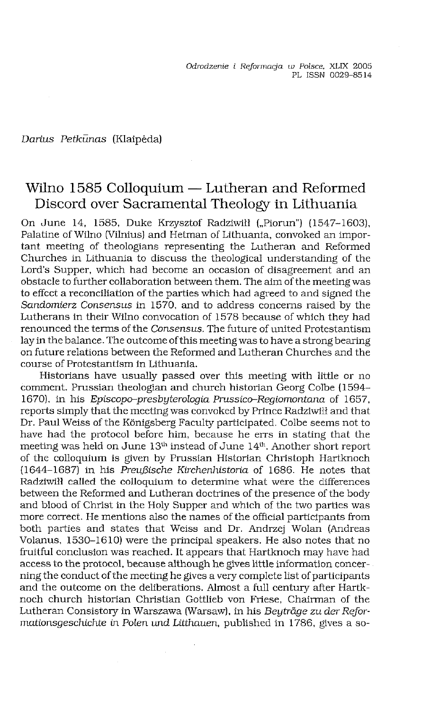*Darius Petkunas* (Klaipeda)

# Wilno 1585 Colloquium — Lutheran and Reformed Discord over Sacramental Theology in Lithuania

On June 14, 1585, Duke Krzysztof Radziwiłł ("Piorun") (1547-1603), Palatine of Wilno (Vilnius) and Hetman of Lithuania, convoked an important meeting of theologians representing the Lutheran and Reformed Churches in Lithuania to discuss the theological understanding of the Lord's Supper, which had become an occasion of disagreement and an obstacle to further collaboration between them. The aim of the meeting was to effect a reconciliation of the parties which had agreed to and signed the *Sandomierz Consensus* in 1570, and to address concerns raised by the Lutherans in their Wilno convocation of 1578 because of which they had renounced the terms of the *Consensus*. The future of united Protestantism lay in the balance. The outcome of this meeting was to have a strong bearing on future relations between the Reformed and Lutheran Churches and the course of Protestantism in Lithuania.

Historians have usually passed over this meeting with little or no comment. Prussian theologian and church historian Georg Colbe (1594- 1670), in his *Episcopo-presbyterologia Prussico-Regiomontana* of 1657, reports simply that the meetingwas convoked by Prince Radziwiłł and that Dr. Paul Weiss of the Königsberg Faculty participated. Colbe seems not to have had the protocol before him, because he errs in stating that the meeting was held on June 13<sup>th</sup> instead of June 14<sup>th</sup>. Another short report of the colloquium is given by Prussian Historian Christoph Hartknoch (1644-1687) in his *PreujBische Kirchenhistoria* of 1686. He notes that Radziwiłł called the colloquium to determine what were the differences between the Reformed and Lutheran doctrines of the presence of the body and blood of Christ in the Holy Supper and which of the two parties was more correct. He mentions also the names of the official participants from both parties and states that Weiss and Dr. Andrzej Wolan (Andreas Volanus, 1530-1610) were the principal speakers. He also notes that no fruitful conclusion was reached. It appears that Hartknoch may have had access to the protocol, because although he gives little information concerning the conduct of the meeting he gives a very complete list of participants and the outcome on the deliberations. Almost a full century after Hartknoch church historian Christian Gottlieb von Friese, Chairman of the Lutheran Consistory in Warszawa (Warsaw), in his *Beytrage zu der Reformationsgeschichte in Polen und Litthauen,* published in 1786, gives a so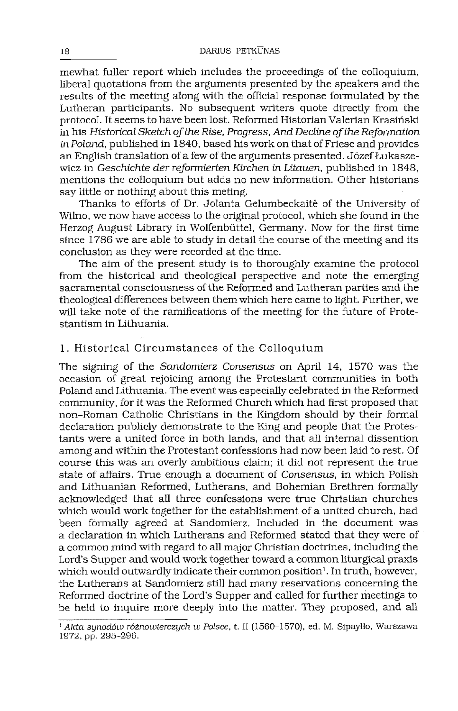mewhat fuller report which includes the proceedings of the colloquium, liberal quotations from the arguments presented by the speakers and the results of the meeting along with the official response formulated by the Lutheran participants. No subsequent writers quote directly from the protocol. It seems to have been lost. Reformed Historian Valerian Krasiński in his *Historical Sketch ofthe Rise, Progress, And Decline ofthe Reformation in* Poland, published in 1840, based his work on that of Friese and provides an English translation of a few of the arguments presented. Józef Łukaszewicz in *Geschichte der reformierten Kirchen in Litauen,* published in 1848, mentions the colloquium but adds no new information. Other historians say little or nothing about this meting.

Thanks to efforts of Dr. Jolanta Gelumbeckaite of the University of Wilno, we now have access to the original protocol, which she found in the Herzog August Library in Wolfenbuttel, Germany. Now for the first time since 1786 we are able to study in detail the course of the meeting and its conclusion as they were recorded at the time.

The aim of the present study is to thoroughly examine the protocol from the historical and theological perspective and note the emerging sacramental consciousness of the Reformed and Lutheran parties and the theological differences between themwhich here came to light. Further, we will take note of the ramifications of the meeting for the future of Protestantism in Lithuania.

### 1. Historical Circumstances of the Colloquium

The signing of the *Sandomierz Consensus* on April 14, 1570 was the occasion of great rejoicing among the Protestant communities in both Poland and Lithuania. The event was especially celebrated in the Reformed community, for it was the Reformed Church which had first proposed that non-Roman Catholic Christians in the Kingdom should by their formal declaration publicly demonstrate to the King and people that the Protestants were a united force in both lands, and that all internal dissention among and within the Protestant confessions had now been laid to rest. Of course this was an overly ambitious claim; it did not represent the true state of affairs. True enough a document of *Consensus,* in which Polish and Lithuanian Reformed, Lutherans, and Bohemian Brethren formally acknowledged that all three confessions were true Christian churches which would work together for the establishment of a united church, had been formally agreed at Sandomierz. Included in the document was a declaration in which Lutherans and Reformed stated that they were of a common mind with regard to all major Christian doctrines, including the Lord's Supper and would work together toward a common liturgical praxis which would outwardly indicate their common position<sup>[1](#page-1-0)</sup>. In truth, however, the Lutherans at Sandomierz still had many reservations concerning the Reformed doctrine of the Lord's Supper and called for further meetings to be held to inquire more deeply into the matter. They proposed, and all

<span id="page-1-0"></span>*<sup>1</sup> Alda synodów różnowierczych w Polsce,* t. II (1560-1570), ed. M. Sipayłło, Warszawa 1972, pp. 295-296.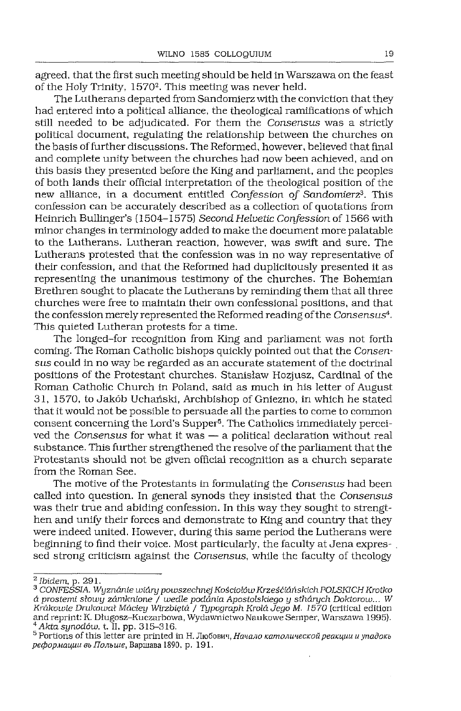agreed, that the first such meeting should be held in Warszawa on the feast of the Holy Trinity, 1570<sup>[2](#page-2-0)</sup>. This meeting was never held.

The Lutherans departed from Sandomierz with the conviction that they had entered into a political alliance, the theological ramifications of which still needed to be adjudicated. For them the *Consensus* was a strictly political document, regulating the relationship between the churches on the basis of further discussions. The Reformed, however, believed that final and complete unity between the churches had now been achieved, and on this basis they presented before the King and parliament, and the peoples of both lands their official interpretation of the theological position of the new alliance, in a document entitled *Confession of Sandomierz[3](#page-2-1)4.* This confession can be accurately described as a collection of quotations from Heinrich Bullinger's (1504-1575) *Second Helvetic Confession* of 1566 with minor changes in terminology added to make the document more palatable to the Lutherans. Lutheran reaction, however, was swift and sure. The Lutherans protested that the confession was in no way representative of their confession, and that the Reformed had duplicitously presented it as representing the unanimous testimony of the churches. The Bohemian Brethren sought to placate the Lutherans by reminding them that all three churches were free to maintain their own confessional positions, and that the confession merely represented the Reformed reading ofthe *Consensus'<sup>1</sup>.* This quieted Lutheran protests for a time.

The longed-for recognition from King and parliament was not forth coming. The Roman Catholic bishops quickly pointed out that the *Consen*sus could in no way be regarded as an accurate statement of the doctrinal positions of the Protestant churches. Stanislaw Hozjusz, Cardinal of the Roman Catholic Church in Poland, said as much in his letter of August 31, 1570, to Jakób Uchański, Archbishop of Gniezno, in which he stated that it would not be possible to persuade all the parties to come to common consent concerning the Lord's Supper[5](#page-2-2). The Catholics Immediately perceived the *Consensus* for what it was — a political declaration without real substance. This further strengthened the resolve of the parliament that the Protestants should not be given official recognition as a church separate from the Roman See.

The motive of the Protestants in formulating the *Consensus* had been called into question. In general synods they insisted that the *Consensus* was their true and abiding confession. In this way they sought to strengthen and unify their forces and demonstrate to King and country that they were indeed united. However, during this same period the Lutherans were beginning to find their voice. Most particularly, the faculty at Jena expressed strong criticism against the *Consensus,* while the faculty of theology

<span id="page-2-0"></span>*<sup>2</sup> Ibidem,* p. 291.

<span id="page-2-1"></span>*<sup>3</sup> CONFESSIA. Wyznanie wiary powszechnej Kościołów KrześćlańskichPOLSKICHKrotko aprostemi słowy zamienione / wedle podania Apostolskiego y stharych Doktorow...* W *Krakowie Drukował Maciey Wirzbięta / Typograph Króla Jego M. 1570* (critical edition and reprint: K. Długosz-Kuczarbowa, Wydawnictwo Naukowe Semper, Warszawa 1995). *<sup>4</sup> Aida synodów,* t. II, pp. 315-316.

<span id="page-2-2"></span> $5$  Portions of this letter are printed in Н. Любович, *Начало католической реакции и упадокь peJjop.Mauuu 3b IToMiue,* BapmaBa 1890, p. 191.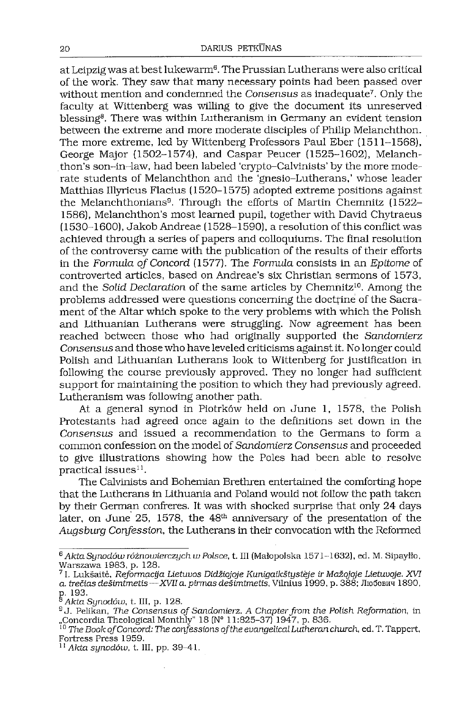at Leipzig was at best lukewarm<sup>[6](#page-3-0)</sup>. The Prussian Lutherans were also critical of the work. They saw that many necessary points had been passed over without mention and condemned the *Consensus* as inadequate[7](#page-3-1). Only the faculty at Wittenberg was willing to give the document its unreserved blessing<sup>[8](#page-3-2)</sup>. There was within Lutheranism in Germany an evident tension between the extreme and more moderate disciples of Philip Melanchthon. The more extreme, led by Wittenberg Professors Paul Eber (1511-1568), George Major (1502-1574), and Caspar Peucer (1525-1602), Melanchthon's son-in-law, had been labeled 'ciypto-Calvinists' by the more moderate students of Melanchthon and the 'gnesio-Lutherans,' whose leader Matthias Illyricus Flacius (1520-1575) adopted extreme positions against the Melanchthonians[9](#page-3-3). Through the efforts of Martin Chemnitz (1522- 1586), Melanchthon's most learned pupil, together with David Chytraeus  $(1530-1600)$ , Jakob Andreae  $(1528-1590)$ , a resolution of this conflict was achieved through a series of papers and colloquiums. The final resolution of the controversy came with the publication of the results of their efforts in the *Formula of Concord* (1577). The *Formula* consists in an *Epitome* of controverted articles, based on Andreae's six Christian sermons of 1573, and the *Solid Declaration* of the same articles by Chemnitz<sup>[10](#page-3-4)</sup>. Among the problems addressed were questions concerning the doctrine of the Sacrament of the Altar which spoke to the very problems with which the Polish and Lithuanian Lutherans were struggling. Now agreement has been reached between those who had originally supported the *Sandomierz Consensus* and those who have leveled criticisms against it. No longer could Polish and Lithuanian Lutherans look to Wittenberg for justification in following the course previously approved. They no longer had sufficient support for maintaining the position to which they had previously agreed. Lutheranism was following another path.

At a general synod in Piotrków held on June 1, 1578, the Polish Protestants had agreed once again to the definitions set down in the *Consensus* and issued a recommendation to the Germans to form a common confession on the model of *Sandomierz Consensus* and proceeded to give illustrations showing how the Poles had been able to resolve practical issues $11$ .

The Calvinists and Bohemian Brethren entertained the comforting hope that the Lutherans in Lithuania and Poland would not follow the path taken by their German confreres. It was with shocked surprise that only 24 days later, on June 25, 1578, the  $48<sup>th</sup>$  anniversary of the presentation of the *Augsburg Confession,* the Lutherans in their convocation with the Reformed

<span id="page-3-0"></span>*<sup>6</sup> Akta Synodów różnowierczych w Polsce,* t. III (Małopolska 1571-1632), ed. M. Sipayłło, Warszawa 1983, p. 128.

<span id="page-3-1"></span><sup>7</sup>1. Lukśaite, *Reformacija Lietuvos DidźiojoJe Kunigaikśtysteje ir Maźojoje Lietuvoje. XVI a. trećias deśimtmetis —XVIIa. pirmas deśimtmetis,* Vilnius 1999, p. 388; JIioSobhh 1890, p. 193.

<span id="page-3-2"></span>*<sup>8</sup> Akta Synodów,* t. III, p. 128.

<span id="page-3-3"></span><sup>&</sup>lt;sup>9</sup> J. Pelikan, *The Consensus of Sandomierz. A Chapter from the Polish Reformation*, in<br>"Concordia Theological Monthly" 18 (N° 11:825–37) 1947, p. 836.<br><sup>10</sup> The Book of Concord: The confessions of the evangelical Lutheran

<span id="page-3-4"></span>Fortress Press 1959.

<span id="page-3-5"></span>*<sup>11</sup> Akta synodów,* t. Ill, pp. 39-41.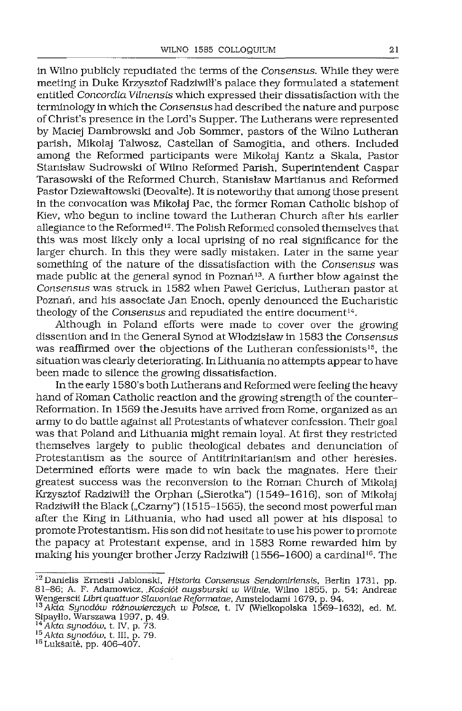in Wilno publicly repudiated the terms ofthe *Consensus.* While they were meeting in Duke Krzysztof Radziwill's palace they formulated a statement entitled *Concordia Vilnensis* which expressed their dissatisfaction with the terminology inwhich the *Consensus* had described the nature and purpose of Christ's presence in the Lord's Supper. The Lutherans were represented by Maciej Dambrowski and Job Sommer, pastors of the Wilno Lutheran parish, Mikołaj Talwosz, Castellan of Samogitia, and others. Included among the Reformed participants were Mikołaj Kantz a Skala, Pastor Stanislaw Sudrowski of Wilno Reformed Parish, Superintendent Caspar Tarasowski of the Reformed Church, Stanislaw Martianus and Reformed Pastor Dziewałtowski (Deovalte). It is noteworthy that among those present in the convocation was Mikołaj Pac, the former Roman Catholic bishop of Kiev, who begun to incline toward the Lutheran Church after his earlier allegiance to the Reformed<sup>[12](#page-4-0)</sup>. The Polish Reformed consoled themselves that this was most likely only a local uprising of no real significance for the larger church. In this they were sadly mistaken. Later in the same year something of the nature of the dissatisfaction with the *Consensus* was made public at the general synod in Poznań<sup>[13](#page-4-1)</sup>. A further blow against the *Consensus* was struck in 1582 when Paweł Gericius, Lutheran pastor at Poznań, and his associate Jan Enoch, openly denounced the Eucharistic theology of the *Consensus* and repudiated the entire document<sup>[14](#page-4-2)</sup>.

Although in Poland efforts were made to cover over the growing dissention and in the General Synod at Wlodzislaw in 1583 the *Consensus* was reaffirmed over the objections of the Lutheran confessionists<sup>[15](#page-4-3)</sup>, the situation was clearly deteriorating. In Lithuania no attempts appear to have been made to silence the growing dissatisfaction.

In the early 1580's both Lutherans and Reformed were feeling the heavy hand of Roman Catholic reaction and the growing strength of the counter-Reformation. In 1569 the Jesuits have arrived from Rome, organized as an army to do battle against all Protestants ofwhatever confession. Their goal was that Poland and Lithuania might remain loyal. At first they restricted themselves largely to public theological debates and denunciation of Protestantism as the source of Antitrinitarianism and other heresies. Determined efforts were made to win back the magnates. Here their greatest success was the reconversion to the Roman Church of Mikołaj Krzysztof Radziwiłł the Orphan ("Sierotka") (1549-1616), son of Mikołaj Radziwiłł the Black ("Czarny") (1515–1565), the second most powerful man after the King in Lithuania, who had used all power at his disposal to promote Protestantism. His son did not hesitate to use his power to promote the papacy at Protestant expense, and in 1583 Rome rewarded him by making his younger brother Jerzy Radziwiłł (1556-1600) a cardinal[16](#page-4-4). The

<span id="page-4-0"></span><sup>12</sup> Daniells Emesti Jablonski, *Historia Consensus Sendomiriensis,* Berlin 1731, pp. 81-86; A. F. Adamowicz, *.Kościół augsburski w Wilnie,* Wilno 1855, p. 54; Andreae

<span id="page-4-1"></span>Wengerscii *Libń quattuor Slavoniae Reformatae,* Amstelodami 1679, p. 94. *<sup>13</sup> Akta Synodów różnowierczych w Polsce,* t. IV (Wielkopolska 1569-1632), ed. M. Sipayłlo, Warszawa 1997, p. 49. *<sup>14</sup> Aida synodów,* t. IV, p. 73.

<span id="page-4-2"></span>

<span id="page-4-3"></span>*<sup>15</sup> Aida synodów,* t. III, p. 79.

<span id="page-4-4"></span><sup>16</sup> Lukśaite, pp. 406-407.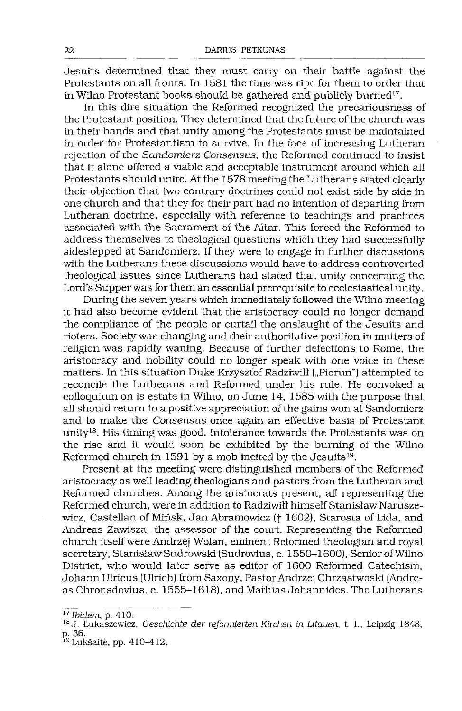Jesuits determined that they must cany on their battle against the Protestants on all fronts. In 1581 the time was ripe for them to order that in Wilno Protestant books should be gathered and publicly burned<sup>[17](#page-5-0)</sup>.

In this dire situation the Reformed recognized the precariousness of the Protestant position. They determined that the future of the church was in their hands and that unity among the Protestants must be maintained in order for Protestantism to survive. In the face of increasing Lutheran rejection of the *Sandomierz Consensus,* the Reformed continued to insist that it alone offered a viable and acceptable instrument around which all Protestants should unite. At the 1578 meeting the Lutherans stated clearly their objection that two contrary doctrines could not exist side by side in one church and that they for their part had no intention of departing from Lutheran doctrine, especially with reference to teachings and practices associated with the Sacrament of the Altar. This forced the Reformed to address themselves to theological questions which they had successfully sidestepped at Sandomierz. If they were to engage in further discussions with the Lutherans these discussions would have to address controverted theological issues since Lutherans had stated that unity concerning the Lord's Supperwas for them an essential prerequisite to ecclesiastical unity.

During the seven years which immediately followed the Wilno meeting it had also become evident that the aristocracy could no longer demand the compliance of the people or curtail the onslaught of the Jesuits and rioters. Society was changing and their authoritative position in matters of religion was rapidly waning. Because of further defections to Rome, the aristocracy and nobility could no longer speak with one voice in these matters. In this situation Duke Krzysztof Radziwiłł ("Piorun") attempted to reconcile the Lutherans and Reformed under his rule. He convoked a colloquium on is estate in Wilno, on June 14, 1585 with the purpose that all should return to a positive appreciation of the gains won at Sandomierz and to make the Consensus once again an effective basis of Protestant unity[18](#page-5-1). His timing was good. Intolerance towards the Protestants was on the rise and it would soon be exhibited by the burning of the Wilno Reformed church in 1591 by a mob incited by the Jesuits<sup>[19](#page-5-2)</sup>.

Present at the meeting were distinguished members of the Reformed aristocracy as well leading theologians and pastors from the Lutheran and Reformed churches. Among the aristocrats present, all representing the Reformed church, were in addition to Radziwiłł himselfStanisław Naruszewicz, Castellan of Mińsk, Jan Abramowicz (f 1602), Starosta of Lida, and Andreas Zawisza, the assessor of the court. Representing the Reformed church itselfwere Andrzej Wolan, eminent Reformed theologian and royal secretary, Stanisław Sudrowski (Sudrovius, c. 1550-1600), Senior of Wilno District, who would later serve as editor of 1600 Reformed Catechism, Johann Ulricus (Ulrich) from Saxony, PastorAndrzej Chrząstwoski (Andreas Chronsdovius, c. 1555-1618), and Mathias Johannides. The Lutherans

<span id="page-5-0"></span>*<sup>17</sup> Ibidem,* p. 410.

<span id="page-5-1"></span><sup>18</sup> J. Łukaszewicz, *Geschichte der reformierten Kirchen in Litauen,* t. I., Leipzig 1848, p. 36.

<span id="page-5-2"></span>p. 30.<br><sup>19</sup>Lukšaitė, pp. 410–412.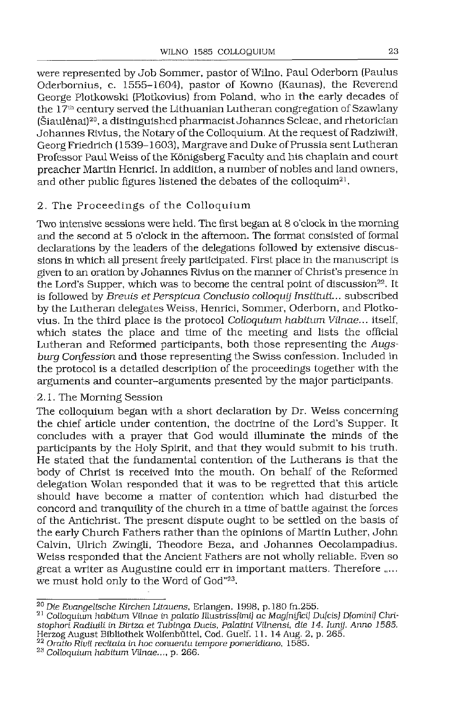were represented by Job Sommer, pastor of Wilno, Paul Oderborn (Paulus Oderbomius, c. 1555-1604), pastor of Kowno (Kaunas), the Reverend George Plotkowski (Plotkovius) from Poland, who in the early decades of the  $17<sup>th</sup>$  century served the Lithuanian Lutheran congregation of Szawlany (Siaulenai)[20](#page-6-0), a distinguished pharmacist Johannes Scleae, and rhetorician Johannes Rivius, the Notary of the Colloquium. At the request of Radziwiłł, Georg Friedrich (1539–1603), Margrave and Duke of Prussia sent Lutheran Professor Paul Weiss of the Königsberg Faculty and his chaplain and court preacher Martin Henrici. In addition, a number of nobles and land owners, and other public figures listened the debates of the colloquim<sup>[21](#page-6-1)</sup>.

#### 2. The Proceedings of the Colloquium

Two intensive sessions were held. The first began at 8 o'clock in the morning and the second at 5 o'clock in the afternoon. The format consisted of formal declarations by the leaders of the delegations followed by extensive discussions in which all present freely participated. First place in the manuscript is given to an oration by Johannes Rivius on the manner of Christ's presence in the Lord's Supper, which was to become the central point of discussion<sup>[22](#page-6-2)</sup>. It is followed by *Breuis et Perspicua Conclusio colloquy Instituti...* subscribed by the Lutheran delegates Weiss, Henrici, Sommer, Oderbom, and Plotkovius. In the third place is the protocol *Colloquium habitum Vilnae...* itself, which states the place and time of the meeting and lists the official Lutheran and Reformed participants, both those representing the *Augsburg Confession* and those representing the Swiss confession. Included in the protocol is a detailed description of the proceedings together with the arguments and counter-arguments presented by the major participants.

## 2.1. The Morning Session

The colloquium began with a short declaration by Dr. Weiss concerning the chief article under contention, the doctrine of the Lord's Supper. It concludes with a prayer that God would illuminate the minds of the participants by the Holy Spirit, and that they would submit to his truth. He stated that the fundamental contention of the Lutherans is that the body of Christ is received into the mouth. On behalf of the Reformed delegation Wolan responded that it was to be regretted that this article should have become a matter of contention which had disturbed the concord and tranquility of the church in a time of battle against the forces of the Antichrist. The present dispute ought to be settled on the basis of the early Church Fathers rather than the opinions of Martin Luther, John Calvin, Ulrich Zwingli, Theodore Beza, and Johannes Oecolampadius. Weiss responded that the Ancient Fathers are not wholly reliable. Even so great a writer as Augustine could err in important matters. Therefore "... we must hold only to the Word of God"[23](#page-6-3).

<span id="page-6-0"></span>*<sup>20</sup> Die Evangelische Kirchen Litauens,* Erlangen, 1998, p. 180 fh.255.

<span id="page-6-1"></span><sup>21</sup> Colloquium habitum Vilnae in *palatio Illustrissfimi]* ac *Mag[nifici] Dufcis] D[omini] Christophori Radiuili in Birtza et Tubinga Ducts, Palatini Vilnensi, die 14. lunij. Anno 1585.* Herzog August Blbllothek Wolfenbiittel, Cod. Guelf. 11. 14 Aug. 2, p. 265.

<span id="page-6-2"></span>*<sup>22</sup> Oratio Rivii recitata in hoc conuentu tempore pomeridiano,* 1585.

<span id="page-6-3"></span>*<sup>23</sup> Colloquium habitum Vilnae...,* p. 266.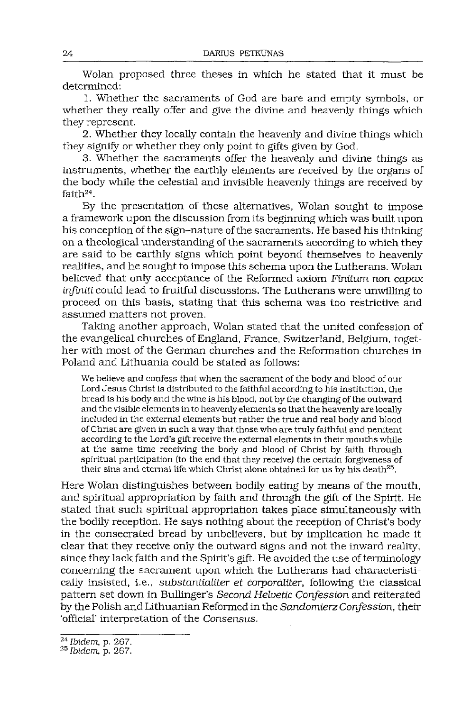Wolan proposed three theses in which he stated that it must be determined:

1. Whether the sacraments of God are bare and empty symbols, or whether they really offer and give the divine and heavenly things which they represent.

2. Whether they locally contain the heavenly and divine things which they signify or whether they only point to gifts given by God.

3. Whether the sacraments offer the heavenly and divine things as instruments, whether the earthly elements are received by the organs of the body while the celestial and invisible heavenly things are received by faith<sup>[24](#page-7-0)</sup>.

By the presentation of these alternatives, Wolan sought to impose a framework upon the discussion from its beginning which was built upon his conception of the sign-nature of the sacraments. He based his thinking on a theological understanding of the sacraments according to which they are said to be earthly signs which point beyond themselves to heavenly realities, and he sought to impose this schema upon the Lutherans. Wolan believed that only acceptance of the Reformed axiom *Finitum non capax Infiniti* could lead to fruitful discussions. The Lutherans were unwilling to proceed on this basis, stating that this schema was too restrictive and assumed matters not proven.

Taking another approach, Wolan stated that the united confession of the evangelical churches of England, France, Switzerland, Belgium, together with most of the German churches and the Reformation churches in Poland and Lithuania could be stated as follows:

We believe and confess that when the sacrament of the body and blood of our Lord Jesus Christ is distributed to the faithful according to his institution, the bread is his body and the wine is his blood, not by the changing of the outward and the visible elements in to heavenly elements so that the heavenly are locally included in the external elements but rather the true and real body and blood ofChrist are given in such a way that those who are truly faithful and penitent according to the Lord's gift receive the external elements in their mouths while at the same time receiving the body and blood of Christ by faith through spiritual participation (to the end that they receive) the certain forgiveness of their sins and eternal life which Christ alone obtained for us by his death<sup>[25](#page-7-1)</sup>.

Here Wolan distinguishes between bodily eating by means of the mouth, and spiritual appropriation by faith and through the gift of the Spirit. He stated that such spiritual appropriation takes place simultaneously with the bodily reception. He says nothing about the reception of Christ's body in the consecrated bread by unbelievers, but by implication he made it clear that they receive only the outward signs and not the inward reality, since they lack faith and the Spirit's gift. He avoided the use of terminology concerning the sacrament upon which the Lutherans had characteristically insisted, i.e., *substantialiter et corporaliter,* following the classical pattern set down in Bullinger's *Second Helvetic Confession* and reiterated by the Polish and Lithuanian Reformed in the *Sandomierz Confession,* their 'official' interpretation of the Consensus.

<span id="page-7-0"></span>*<sup>24</sup> Ibidem,* p. 267.

<span id="page-7-1"></span>*<sup>25</sup> Ibidem,* p. 267.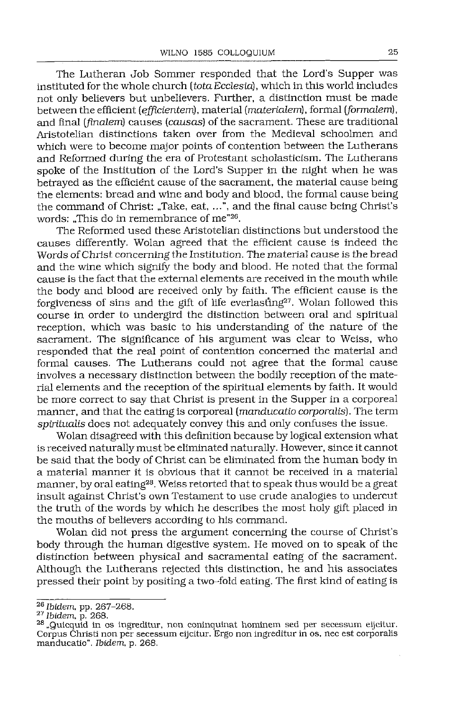The Lutheran Job Sommer responded that the Lord's Supper was instituted for the whole church *(tolaEcclesid),* which in this world includes not only believers but unbelievers. Further, a distinction must be made between the efficient *(ejficientem),* material (materiałem), formal *(formalem),* and final *(finałem)* causes *(causas)* ofthe sacrament. These are traditional Aristotelian distinctions taken over from the Medieval schoolmen and which were to become major points of contention between the Lutherans and Reformed during the era of Protestant scholasticism. The Lutherans spoke of the Institution of the Lord's Supper in the night when he was  $\frac{1}{2}$  hetraved as the efficient cause of the sacrament, the material cause being the elements: bread and wine and body and blood, the formal cause being the command of Christ: ..Take, eat,  $\ldots$ ", and the final cause being Christ's words: "This do in remembrance of me"<sup>[26](#page-8-0)</sup>.

The Reformed used these Aristotelian distinctions but understood the causes differently. Wolan agreed that the efficient cause is indeed the Words ofChrist concerning the Institution. The material cause is the bread and the wine which signify the body and blood. He noted that the formal cause is the fact that the external elements are received in the mouth while the body and blood are received only by faith. The efficient cause is the forgiveness of sins and the gift of life everlasting<sup>[27](#page-8-1)</sup>. Wolan followed this course in order to undergird the distinction between oral and spiritual reception, which was basic to his understanding of the nature of the sacrament. The significance of his argument was clear to Weiss, who responded that the real point of contention concerned the material and formal causes. The Lutherans could not agree that the formal cause involves a necessary distinction between the bodily reception of the material elements and the reception ofthe spiritual elements by faith. It would be more correct to say that Christ is present in the Supper in a corporeal manner, and that the eating is corporeal *(manducatio corporalis).* The term *spiritualis* does not adequately convey this and only confuses the issue.

Wolan disagreed with this definition because by logical extension what is received naturallymust be eliminated naturally. However, since it cannot be said that the body of Christ can be eliminated from the human body in a material manner it is obvious that it cannot be received in a material manner, by oral eating<sup>[28](#page-8-2)</sup>. Weiss retorted that to speak thus would be a great insult against Christ's own Testament to use crude analogies to undercut the truth of the words by which he describes the most holy gift placed in the mouths of believers according to his command.

Wolan did not press the argument concerning the course of Christ's body through the human digestive system. He moved on to speak of the distinction between physical and sacramental eating of the sacrament. Although the Lutherans rejected this distinction, he and his associates pressed their point by positing a two-fold eating. The first kind of eating is

<span id="page-8-0"></span>*<sup>26</sup> Ibidem,* pp. 267-268.

<span id="page-8-1"></span>*<sup>27</sup> Ibidem,* p. 268.

<span id="page-8-2"></span><sup>&</sup>lt;sup>28</sup> "Quicquid in os ingreditur, non coninquinat hominem sed per secessum eijcitur. Corpus Christi non per secessum eijcitur. Ergo non ingreditur in os, nec est corporalis manducatio". *Ibidem,* p. 268.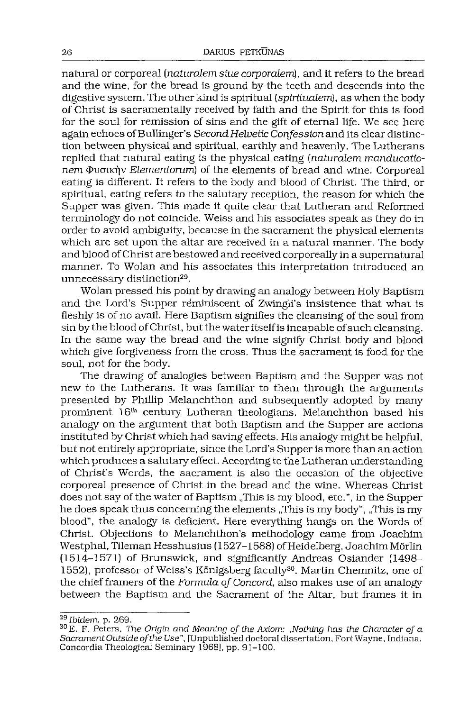natural or corporeal *(naturalem siue corporalem],* and it refers to the bread and the wine, for the bread is ground by the teeth and descends into the digestive system. The other kind is spiritual *(spiritualem),* as when the body of Christ is sacramentally received by faith and the Spirit for this is food for the soul for remission of sins and the gift of eternal life. We see here again echoes ofBullinger's *SecondHelvetic Confession* and its clear distinction between physical and spiritual, earthly and heavenly. The Lutherans replied that natural eating is the physical eating *(naturalem manducationem* Φυσικήν *Elementorum*) of the elements of bread and wine. Corporeal eating is different. It refers to the body and blood of Christ. The third, or spiritual, eating refers to the salutary reception, the reason for which the Supper was given. This made it quite clear that Lutheran and Reformed terminology do not coincide. Weiss and his associates speak as they do in order to avoid ambiguity, because in the sacrament the physical elements which are set upon the altar are received in a natural manner. The body and blood ofChrist are bestowed and received corporeally in a supernatural manner. To Wolan and his associates this interpretation introduced an unnecessary distinction<sup>[29](#page-9-0)</sup>.

Wolan pressed his point by drawing an analogy between Holy Baptism and the Lord's Supper reminiscent of Zwingli's insistence that what is fleshly is of no avail. Here Baptism signifies the cleansing of the soul from  $\sin$  by the blood of Christ, but the water itself is incapable of such cleansing. In the same way the bread and the wine signify Christ body and blood which give forgiveness from the cross. Thus the sacrament is food for the soul, not for the body.

The drawing of analogies between Baptism and the Supper was not new to the Lutherans. It was familiar to them through the arguments presented by Phillip Melanchthon and subsequently adopted by many prominent 16th century Lutheran theologians. Melanchthon based his analogy on the argument that both Baptism and the Supper are actions instituted by Christ which had saving effects. His analogy might be helpful, butnot entirely appropriate, since the Lord's Supper is more than an action which produces a salutary effect. According to the Lutheran understanding of Christ's Words, the sacrament is also the occasion of the objective corporeal presence of Christ in the bread and the wine. Whereas Christ does not say of the water of Baptism "This is my blood, etc.", in the Supper he does speak thus concerning the elements "This is my body", "This is my blood", the analogy is deficient. Here everything hangs on the Words of Christ. Objections to Melanchthon's methodology came from Joachim Westphal, Tileman Hesshusius (1527-1588) ofHeidelberg, Joachim Mórlin (1514-1571) of Brunswick, and significantly Andreas Osiander (1498- 1552), professor of Weiss's Königsberg faculty<sup>[30](#page-9-1)</sup>. Martin Chemnitz, one of the chief framers of the *Formula ofConcord,* also makes use of an analogy between the Baptism and the Sacrament of the Altar, but frames it in

<span id="page-9-0"></span>*<sup>29</sup> Ibidem,* p. 269.

<span id="page-9-1"></span><sup>30</sup> E. F. Peters, The *Origin and Meaning of the Axiom: "Nothing has the Character of a Sacrament Outside ofthe Use",* [Unpublished doctoral dissertation, Fort Wayne, Indiana, Concordia Theological Seminary 1968], pp. 91-100.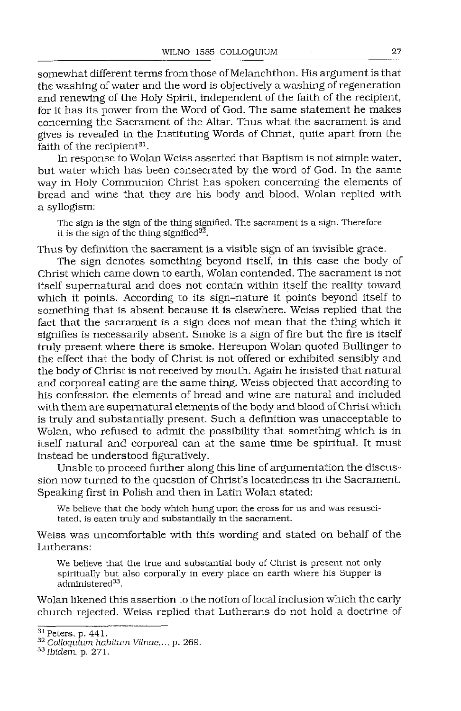somewhat different terms from those of Melanchthon. His argument is that the washing of water and the word is objectively a washing of regeneration and renewing of the Holy Spirit, independent of the faith of the recipient, for it has its power from the Word of God. The same statement he makes concerning the Sacrament of the Altar. Thus what the sacrament is and gives is revealed in the Instituting Words of Christ, quite apart from the faith of the recipient<sup>[31](#page-10-0)</sup>.

In response to Wolan Weiss asserted that Baptism is not simple water, but water which has been consecrated by the word of God. In the same way in Holy Communion Christ has spoken concerning the elements of bread and wine that they are his body and blood. Wolan replied with a syllogism:

The sign is the sign of the thing signified. The sacrament is a sign. Therefore it is the sign of the thing signified $3\overline{2}$ .

Thus by definition the sacrament is a visible sign of an invisible grace.

The sign denotes something beyond itself, in this case the body of Christ which came down to earth, Wolan contended. The sacrament is not itself supernatural and does not contain within itself the reality toward which it points. According to its sign-nature it points beyond itself to something that is absent because it is elsewhere. Weiss replied that the fact that the sacrament is a sign does not mean that the thing which it signifies is necessarily absent. Smoke is a sign of fire but the fire is itself truly present where there is smoke. Hereupon Wolan quoted Bullinger to the effect that the body of Christ is not offered or exhibited sensibly and the body of Christ is not received by mouth. Again he insisted that natural and corporeal eating are the same thing. Weiss objected that according to his confession the elements of bread and wine are natural and included with them are supernatural elements of the body and blood of Christ which is truly and substantially present. Such a definition was unacceptable to Wolan, who refused to admit the possibility that something which is in itself natural and corporeal can at the same time be spiritual. It must instead be understood figuratively.

Unable to proceed further along this line of argumentation the discussion now turned to the question of Christ's locatedness in the Sacrament. Speaking first in Polish and then in Latin Wolan stated:

We believe that the body which hung upon the cross for us and was resuscitated, is eaten truly and substantially in the sacrament.

Weiss was uncomfortable with this wording and stated on behalf of the Lutherans:

We believe that the true and substantial body of Christ is present not only spiritually but also corporally in every place on earth where his Supper is administered<sup>[33](#page-10-2)</sup>.

Wolan likened this assertion to the notion oflocal inclusion which the early church rejected. Weiss replied that Lutherans do not hold a doctrine of

<span id="page-10-0"></span><sup>31</sup> Peters, p. 441.

<span id="page-10-1"></span><sup>32</sup> Colloquium *habiium Vilnae...,* p. 269.

<span id="page-10-2"></span>*<sup>33</sup> Ibidem,* p. 271.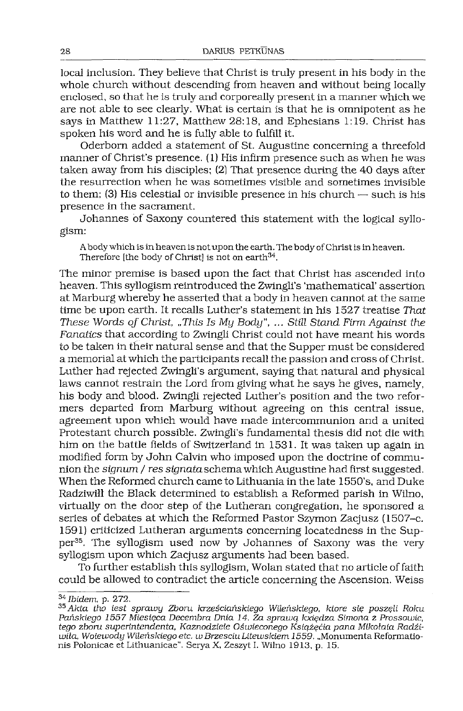local inclusion. They believe that Christ is truly present in his body in the whole church without descending from heaven and without being locally enclosed, so that he is truly and corporeally present in a manner which we are not able to see clearly. What is certain is that he is omnipotent as he says in Matthew 11:27, Matthew 28:18, and Ephesians 1:19. Christ has spoken his word and he is fully able to fulfill it.

Oderbom added a statement of St. Augustine concerning a threefold manner of Christ's presence. (1) His infirm presence such as when he was taken away from his disciples; (2) That presence during the 40 days after the resurrection when he was sometimes visible and sometimes invisible to them: (3) His celestial or invisible presence in his church — such is his presence in the sacrament.

Johannes of Saxony countered this statement with the logical syllogism;

Abodywhich is inheavenis notuponthe earth. The body ofChristis inheaven. Therefore [the body of Christ] is not on earth<sup>[34](#page-11-0)</sup>.

The minor premise is based upon the fact that Christ has ascended into heaven. This syllogism reintroduced the Zwingli's 'mathematical' assertion at Marburg whereby he asserted that a body in heaven cannot at the same time be upon earth. It recalls Luther's statement in his 1527 treatise That *These Words of Christ, "This Is My Body", ... Still Stand Firm Against the* Fanatics that according to Zwingli Christ could not have meant his words to be taken in their natural sense and that the Supper must be considered a memorial at which the participants recall the passion and cross of Christ. Luther had rejected Zwingli's argument, saying that natural and physical laws cannot restrain the Lord from giving what he says he gives, namely, his body and blood. Zwingli rejected Luther's position and the two reformers departed from Marburg without agreeing on this central issue, agreement upon which would have made intercommunion and a united Protestant church possible. Zwingli's fundamental thesis did not die with him on the battle fields of Switzerland in 1531. It was taken up again in modified form by John Calvin who Imposed upon the doctrine of communion the *signum / res* sipnata schemawhichAugustine had first suggested. When the Reformed church came to Lithuania in the late 1550's, and Duke Radziwiłł the Black determined to establish a Reformed parish in Wilno, virtually on the door step of the Lutheran congregation, he sponsored a series of debates at which the Reformed Pastor Szymon Zacjusz (1507-c. 1591) criticized Lutheran arguments concerning locatedness in the Supper[35](#page-11-1). The syllogism used now by Johannes of Saxony was the very syllogism upon which Zacjusz arguments had been based.

To further establish this syllogism, Wolan stated that no article of faith could be allowed to contradict the article concerning the Ascension. Weiss

<span id="page-11-0"></span>*<sup>34</sup> Ibidem,* p. 272.

<span id="page-11-1"></span>*<sup>35</sup> Akta tho iest sprawy Zboru krześciańskiego Wileńskiego, które się poszęli Roku Pańskiego 1557 Miesięca Decembra Dnia 14. Za sprawą kxiędza Simona* z *Pressowie, tego zboru superintendenta, Kaznodzieie Oświeconego Książęćia pana Mikołaia Radźiwiła, Woiewody Wileńskiego etc. w BrześciuLitewskiem 1559.* "Monumenta Reformationis Polonicae et Lithuanicae". Serya X, Zeszyt I. Wilno 1913, p. 15.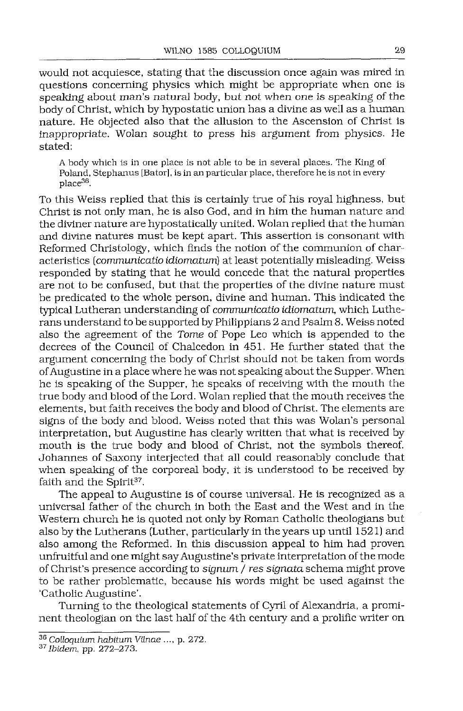would not acquiesce, stating that the discussion once again was mired in questions concerning physics which might be appropriate when one is speaking about man's natural body, but not when one is speaking of the body of Christ, which by hypostatic union has a divine as well as a human nature. He objected also that the allusion to the Ascension of Christ is inappropriate. Wolan sought to press his argument from physics. He stated:

A body which is in one place is not able to be in several places. The King of Poland, Stephanas [Bator], is in an particular place, therefore he is not in every place[36](#page-12-0).

To this Weiss replied that this is certainly true of his royal highness, but Christ is not only man, he is also God, and in him the human nature and the diviner nature are hypostatically united. Wolan replied that the human and divine natures must be kept apart. This assertion is consonant with Reformed Christology, which finds the notion of the communion of characteristics *(communicatio idiomatum)* at least potentially misleading. Weiss responded by stating that he would concede that the natural properties are not to be confused, but that the properties of the divine nature must be predicated to the whole person, divine and human. This indicated the typical Lutheran understanding of *communicatio idiomatum,* which Lutherans understand to be supported by Philippians 2 and Psalm 8. Weiss noted also the agreement of the *Tome* of Pope Leo which is appended to the decrees of the Council of Chalcedon in 451. He further stated that the argument concerning the body of Christ should not be taken from words ofAugustine in a place where he was not speaking about the Supper. When he is speaking of the Supper, he speaks of receiving with the mouth the true body and blood ofthe Lord. Wolan replied that the mouth receives the elements, but faith receives the body and blood of Christ. The elements are signs of the body and blood. Weiss noted that this was Wolan's personal interpretation, but Augustine has clearly written that what is received by mouth is the true body and blood of Christ, not the symbols thereof. Johannes of Saxony interjected that all could reasonably conclude that when speaking of the corporeal body, it is understood to be received by faith and the Spirit<sup>[37](#page-12-1)</sup>.

The appeal to Augustine is of course universal. He is recognized as a universal father of the church in both the East and the West and in the Western church he is quoted not only by Roman Catholic theologians but also by the Lutherans (Luther, particularly in the years up until 1521) and also among the Reformed. In this discussion appeal to him had proven unfruitful and one might say Augustine's private interpretation of the mode of Christ's presence according to *signum / res signata* schema might prove to be rather problematic, because his words might be used against the 'Catholic Augustine'.

Turning to the theological statements of Cyril of Alexandria, a prominent theologian on the last half of the 4th century and a prolific writer on

<span id="page-12-0"></span>*<sup>36</sup> Colloquium habitum Vilnae ....* p. 272.

<span id="page-12-1"></span>*<sup>37</sup> Ibidem,* pp. 272-273.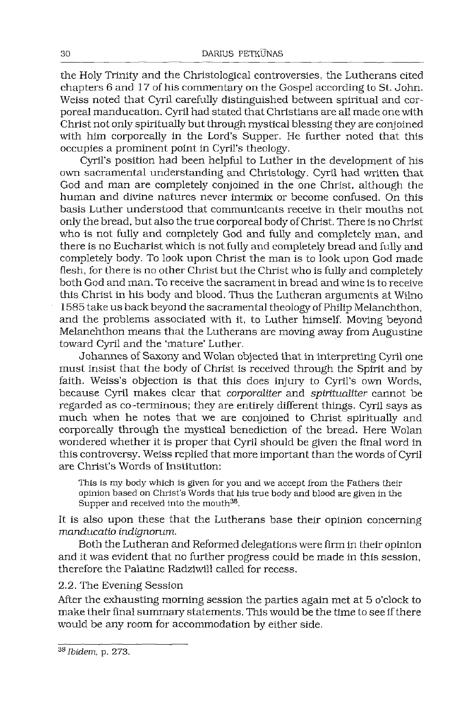the Holy Trinity and the Christological controversies, the Lutherans cited chapters 6 and 17 of his commentary on the Gospel according to St. John. Weiss noted that Cyril carefully distinguished between spiritual and corporeal manducation. Cyril had stated that Christians are all made one with Christ not only spiritually but through mystical blessing they are conjoined with him corporeally in the Lord's Supper. He further noted that this occupies a prominent point in Cyril's theology.

Cyril's position had been helpful to Luther in the development of his own sacramental understanding and Christology. Cyril had written that God and man are completely conjoined in the one Christ, although the human and divine natures never intermix or become confused. On this basis Luther understood that communicants receive in their mouths not only the bread, but also the true corporeal body ofChrist. There is no Christ who is not fully and completely God and fully and completely man, and there is no Eucharist which is not fully and completely bread and fully and completely body. To look upon Christ the man is to look upon God made flesh, for there is no other Christ but the Christ who is fully and completely both God and man. To receive the sacramentin bread and wine is to receive this Christ in his body and blood. Thus the Lutheran arguments at Wilno 1585 take us back beyond the sacramental theology of Philip Melanchthon, and the problems associated with it, to Luther himself. Moving beyond Melanchthon means that the Lutherans are moving away from Augustine toward Cyril and the 'mature' Luther.

Johannes of Saxony and Wolan objected that in interpreting Cyril one must insist that the body of Christ is received through the Spirit and by faith. Weiss's objection is that this does injury to Cyril's own Words, because Cyril makes clear that *corporaliter* and *spiritualiter* cannot be regarded as co-terminous; they are entirely different things. Cyril says as much when he notes that we are conjoined to Christ spiritually and corporeally through the mystical benediction of the bread. Here Wolan wondered whether it is proper that Cyril should be given the final word in this controversy. Weiss replied that more important than the words of Cyril are Christ's Words of Institution:

This is my body which is given for you and we accept from the Fathers their opinion based on Christ's Words that his true body and blood are given in the Supper and received into the mouth<sup>[38](#page-13-0)</sup>.

It is also upon these that the Lutherans base their opinion concerning *manducatio indignorum.*

Both the Lutheran and Reformed delegations were firm in their opinion and it was evident that no further progress could be made in this session, therefore the Palatine Radziwiłł called for recess.

2.2. The Evening Session

After the exhausting morning session the parties again met at 5 o'clock to make their final summary statements. This would be the time to see if there would be any room for accommodation by either side.

<span id="page-13-0"></span>*<sup>38</sup> Ibidem,* p. 273.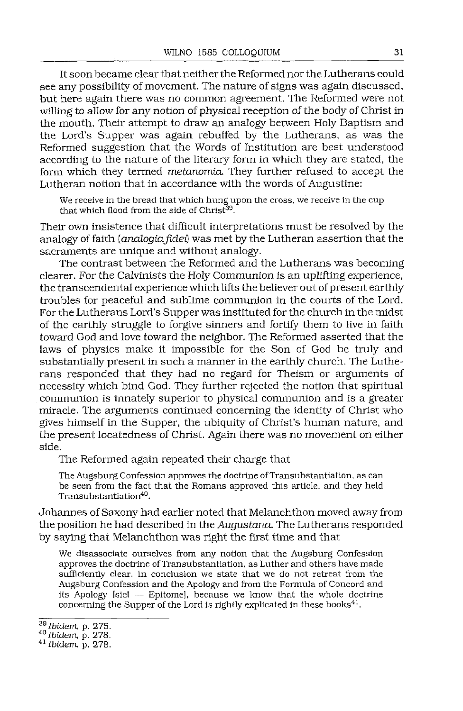It soon became clear that neither the Reformed nor the Lutherans could see any possibility of movement. The nature of signs was again discussed, but here again there was no common agreement. The Reformed were not willing to allow for any notion of physical reception of the body of Christ in the mouth. Their attempt to draw an analogy between Holy Baptism and the Lord's Supper was again rebuffed by the Lutherans, as was the Reformed suggestion that the Words of Institution are best understood according to the nature of the literary form in which they are stated, the form which they termed *metanomia*. They further refused to accept the Lutheran notion that in accordance with the words of Augustine:

We receive in the bread that which hung upon the cross, we receive in the cup that which flood from the side of Christ<sup>[39](#page-14-0)</sup>.

Their own insistence that difficult interpretations must be resolved by the analogy offaith *[analogiafidei]* was met by the Lutheran assertion that the sacraments are unique and without analogy.

The contrast between the Reformed and the Lutherans was becoming clearer. For the Calvinists the Holy Communion is an uplifting experience, the transcendental experience which lifts the believer out of present earthly troubles for peaceful and sublime communion in the courts of the Lord. For the Lutherans Lord's Supper was instituted for the church in the midst of the earthly struggle to forgive sinners and fortify them to live in faith toward God and love toward the neighbor. The Reformed asserted that the laws of physics make it impossible for the Son of God be truly and substantially present in such a manner in the earthly church. The Lutherans responded that they had no regard for Theism or arguments of necessity which bind God. They further rejected the notion that spiritual communion is innately superior to physical communion and is a greater miracle. The arguments continued concerning the identity of Christ who gives himself in the Supper, the ubiquity of Christ's human nature, and the present locatedness of Christ. Again there was no movement on either side.

The Reformed again repeated their charge that

The Augsburg Confession approves the doctrine of Transubstantiation, as can be seen from the fact that the Romans approved this article, and they held Transubstantiation<sup>[40](#page-14-1)</sup>.

Johannes ofSaxony had earlier noted that Melanchthon moved away from the position he had described in the *Augustana.* The Lutherans responded by saying that Melanchthon was right the first time and that

We disassociate ourselves from any notion that the Augsburg Confession approves the doctrine ofTransubstantiation, as Luther and others have made sufficiently clear. In conclusion we state that we do not retreat from the Augsburg Confession and the Apology and from the Formula of Concord and its Apology [sic! — Epitome], because we know that the whole doctrine concerning the Supper of the Lord is rightly explicated in these books<sup>[41](#page-14-2)</sup>.

<span id="page-14-0"></span>*<sup>39</sup> Ibidem,* p. 275. *40 Ibidem,* p. 278.

<span id="page-14-1"></span>

<span id="page-14-2"></span><sup>&</sup>lt;sup>41</sup> Ibidem, p. 278.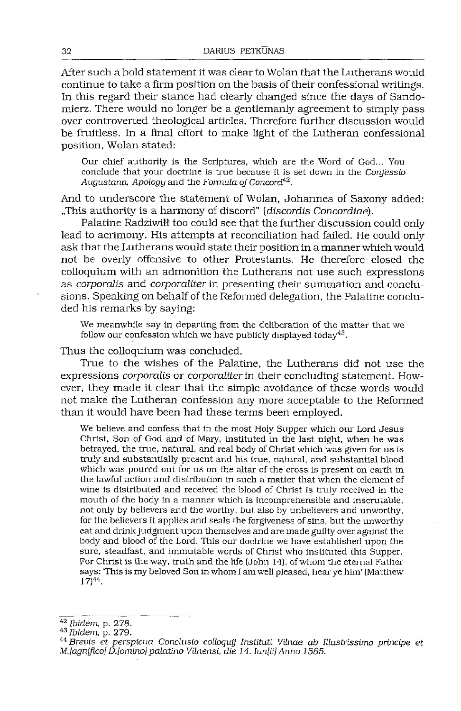After such a bold statement it was clear to Wolan that the Lutherans would continue to take a firm position on the basis of their confessional writings. In this regard their stance had clearly changed since the days of Sandomierz. There would no longer be a gentlemanly agreement to simply pass over controverted theological articles. Therefore further discussion would be fruitless. In a final effort to make light of the Lutheran confessional position, Wolan stated:

Our chief authority is the Scriptures, which are the Word of God... You conclude that your doctrine is true because it is set down in the *Confessio Augustana, Apology* and the *Formula ofConcord.[42](#page-15-0).*

And to underscore the statement of Wolan, Johannes of Saxony added: "This authority is a harmony of discord" *[discordis Concordiae).*

Palatine Radziwiłł too could see that the further discussion could only lead to acrimony. His attempts at reconciliation had failed. He could only ask that the Lutherans would state their position in amanner which would not be overly offensive to other Protestants. He therefore closed the colloquium with an admonition the Lutherans not use such expressions as *corporalis* and *corporaliter* in presenting their summation and conclusions. Speaking on behalf of the Reformed delegation, the Palatine concluded his remarks by saying:

We meanwhile say in departing from the deliberation of the matter that we follow our confession which we have publicly displayed today $43$ .

Thus the colloquium was concluded.

True to the wishes of the Palatine, the Lutherans did not use the expressions *corporalis* or *corporaliter*in their concluding statement. However, they made it clear that the simple avoidance of these words would not make the Lutheran confession any more acceptable to the Reformed than it would have been had these terms been employed.

We believe and confess that in the most Holy Supper which our Lord Jesus Christ, Son of God and of Mary, instituted in the last night, when he was betrayed, the true, natural, and real body of Christ which was given for us is truly and substantially present and his true, natural, and substantial blood which was poured out for us on the altar of the cross is present on earth in the lawful action and distribution in such a matter that when the element of wine is distributed and received the blood of Christ is truly received in the mouth of tire body in a manner which is incomprehensible and inscrutable, not only by believers and the worthy, but also by unbelievers and unworthy, for the believers it applies and seals the forgiveness of sins, but the unworthy eat and drink judgment upon themselves and are made guilty over against the body and blood of the Lord. This our doctrine we have established upon the sure, steadfast, and immutable words of Christ who instituted this Supper. For Christ is the way, truth and the life (John 14), ofwhom the eternal Father says: This is my beloved Son in whom I am well pleased, hear ye him' (Matthew  $17)44$  $17)44$ .

<span id="page-15-0"></span>*<sup>42</sup> Ibidem,* p. 278.

<span id="page-15-1"></span>*<sup>43</sup> Ibidem,* p. 279.

<span id="page-15-2"></span>*<sup>44</sup> Brevis et perspicua Conclusio colloquy Instituti Vilnae db Illustrissimo principe et M.[agnifico] D.[omino]palatino Vilnensi, die 14. Iun[ii]Anno 1585.*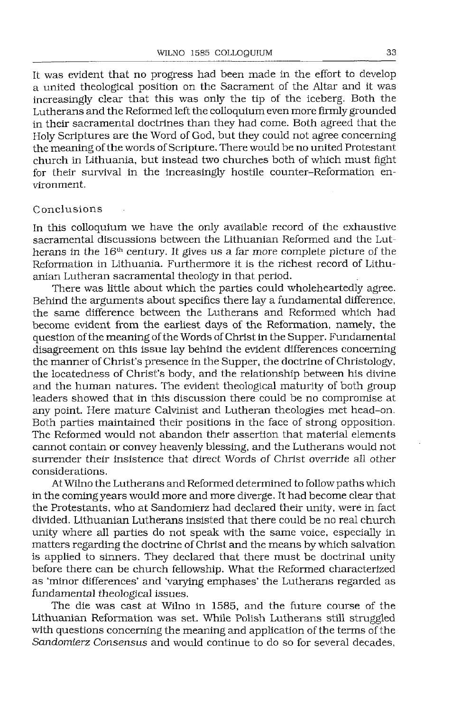It was evident that no progress had been made in the effort to develop a united theological position on the Sacrament of the Altar and it was increasingly clear that this was only the tip of the iceberg. Both the Lutherans and the Reformed left the colloquium even more firmly grounded in their sacramental doctrines than they had come. Both agreed that the Holy Scriptures are the Word of God, but they could not agree concerning the meaning of the words of Scripture. There would be no united Protestant church in Lithuania, but instead two churches both of which must fight for their survival in the increasingly hostile counter-Reformation environment.

#### Conclusions

In this colloquium we have the only available record of the exhaustive sacramental discussions between the Lithuanian Reformed and the Lutherans in the 16<sup>th</sup> century. It gives us a far more complete picture of the Reformation in Lithuania. Furthermore it is the richest record of Lithuanian Lutheran sacramental theology in that period.

There was little about which the parties could wholeheartedly agree. Behind the arguments about specifics there lay a fundamental difference, the same difference between the Lutherans and Reformed which had become evident from the earliest days of the Reformation, namely, the question of the meaning of the Words of Christ in the Supper. Fundamental disagreement on this issue lay behind the evident differences concerning the manner of Christ's presence in the Supper, the doctrine of Christology, the locatedness of Christ's body, and the relationship between his divine and the human natures. The evident theological maturity of both group leaders showed that in this discussion there could be no compromise at any point. Here mature Calvinist and Lutheran theologies met head-on. Both parties maintained their positions in the face of strong opposition. The Reformed would not abandon their assertion that material elements cannot contain or convey heavenly blessing, and the Lutherans would not surrender their insistence that direct Words of Christ override all other considerations.

AtWilno the Lutherans and Reformed determined to followpaths which in the coming years would more and more diverge. It had become clear that the Protestants, who at Sandomierz had declared their unity, were in fact divided. Lithuanian Lutherans insisted that there could be no real church unity where all parties do not speak with the same voice, especially in matters regarding the doctrine of Christ and the means by which salvation is applied to sinners. They declared that there must be doctrinal unity before there can be church fellowship. What the Reformed characterized as 'minor differences' and 'varying emphases' the Lutherans regarded as fundamental theological issues.

The die was cast at Wilno in 1585, and the future course of the Lithuanian Reformation was set. While Polish Lutherans still struggled with questions concerning the meaning and application of the terms of the *Sandomierz Consensus* and would continue to do so for several decades,